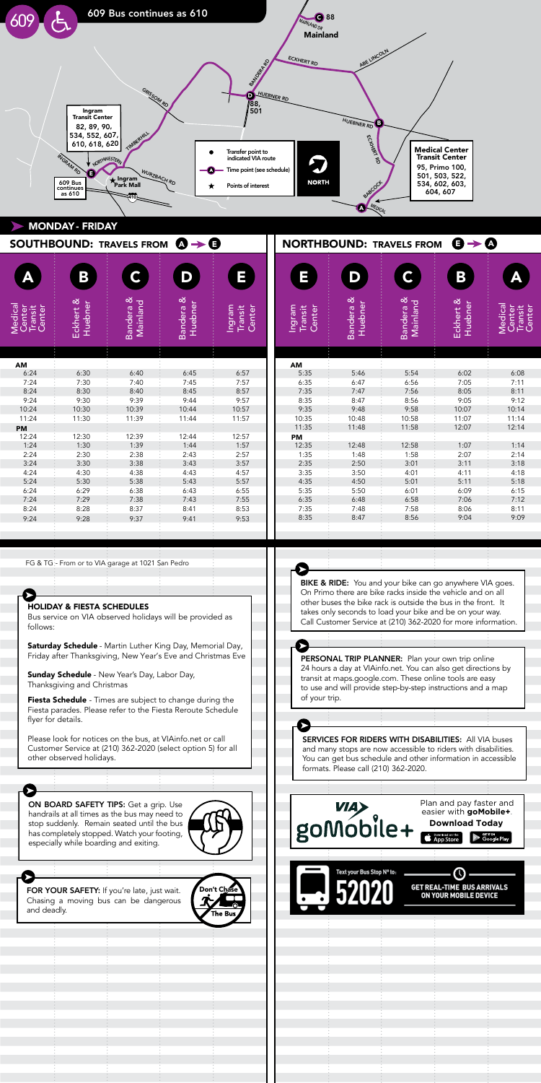

|                                        |                             |                       | SOUTHBOUND: TRAVELS FROM $\mathbf{Q} \rightarrow \mathbf{Q}$ |                             | <b>NORTHBOUND: TRAVELS FROM</b><br>し → ④ |                      |                       |                      |                                               |
|----------------------------------------|-----------------------------|-----------------------|--------------------------------------------------------------|-----------------------------|------------------------------------------|----------------------|-----------------------|----------------------|-----------------------------------------------|
|                                        | Β                           | $\mathsf C$           | D                                                            | Ξ                           | Ξ                                        | D                    | C                     | B                    | Ą                                             |
| Medical<br>Center<br>Transit<br>Center | Eckhert &<br><b>Huebner</b> | Bandera &<br>Mainland | Bandera &<br>Huebner                                         | Ingram<br>Center<br>Transit | Ingram<br>Center<br>Transit              | Bandera &<br>Huebner | Bandera &<br>Mainland | Eckhert &<br>Huebner | <b>Medical</b><br>Center<br>Transit<br>Center |
|                                        |                             |                       |                                                              |                             |                                          |                      |                       |                      |                                               |
| AM<br>6:24                             | 6:30                        | 6:40                  | 6:45                                                         | 6:57                        | AM<br>5:35                               | 5:46                 | 5:54                  | 6:02                 | 6:08                                          |
| 7:24                                   | 7:30                        | 7:40                  | 7:45                                                         | 7:57                        | 6:35                                     | 6:47                 | 6:56                  | 7:05                 | 7:11                                          |
| 8:24                                   | 8:30                        | 8:40                  | 8:45                                                         | 8:57                        | 7:35                                     | 7:47                 | 7:56                  | 8:05                 | 8:11                                          |
| 9:24                                   | 9:30                        | 9:39                  | 9:44                                                         | 9:57                        | 8:35                                     | 8:47                 | 8:56                  | 9:05                 | 9:12                                          |
| 10:24                                  | 10:30                       | 10:39                 | 10:44                                                        | 10:57                       | 9:35                                     | 9:48                 | 9:58                  | 10:07                | 10:14                                         |
| 11:24                                  | 11:30                       | 11:39                 | 11:44                                                        | 11:57                       | 10:35                                    | 10:48                | 10:58                 | 11:07                | 11:14                                         |
| <b>PM</b>                              |                             |                       |                                                              |                             | 11:35                                    | 11:48                | 11:58                 | 12:07                | 12:14                                         |
| 12:24                                  | 12:30                       | 12:39                 | 12:44                                                        | 12:57                       | PM                                       |                      |                       |                      |                                               |
| 1:24                                   | 1:30                        | 1:39                  | 1:44                                                         | 1:57                        | 12:35                                    | 12:48                | 12:58                 | 1:07                 | 1:14                                          |
| 2:24                                   | 2:30                        | 2:38                  | 2:43                                                         | 2:57                        | 1:35                                     | 1:48                 | 1:58                  | 2:07                 | 2:14                                          |
| 3:24                                   | 3:30                        | 3:38                  | 3:43                                                         | 3:57                        | 2:35                                     | 2:50                 | 3:01                  | 3:11                 | 3:18                                          |
| 4:24                                   | 4:30                        | 4:38                  | 4:43                                                         | 4:57                        | 3:35                                     | 3:50                 | 4:01                  | 4:11                 | 4:18                                          |
| 5:24                                   | 5:30                        | 5:38                  | 5:43                                                         | 5:57                        | 4:35                                     | 4:50                 | 5:01                  | 5:11                 | 5:18                                          |
| 6:24                                   | 6:29                        | 6:38                  | 6:43                                                         | 6:55                        | 5:35                                     | 5:50                 | 6:01                  | 6:09                 | 6:15                                          |
| 7:24                                   | 7:29                        | 7:38                  | 7:43                                                         | 7:55                        | 6:35                                     | 6:48                 | 6:58                  | 7:06                 | 7:12                                          |
| 8:24                                   | 8:28                        | 8:37                  | 8:41                                                         | 8:53                        | 7:35                                     | 7:48                 | 7:58                  | 8:06                 | 8:11                                          |
| 9:24                                   | 9:28                        | 9:37                  | 9:41                                                         | 9:53                        | 8:35                                     | 8:47                 | 8:56                  | 9:04                 | 9:09                                          |
|                                        |                             |                       |                                                              |                             |                                          |                      |                       |                      |                                               |
|                                        |                             |                       |                                                              |                             |                                          |                      |                       |                      |                                               |
|                                        |                             |                       |                                                              |                             |                                          |                      |                       |                      |                                               |

FG & TG - From or to VIA garage at 1021 San Pedro  $\sigma$  and promote range denote rack is outside the front.

This helps passengers plan transfers to other routes.

## HOLIDAY & FIESTA SCHEDULES

SERVICES: TO ALL VIA BUSES FOR RIGHTS WITH DISABILITIES: All VIA buses of the contract of the contract of the contract of the contract of the contract of the contract of the contract of the contract of the contract of the Bus service on VIA observed holidays will be provided as follows:

takes only seconds to load your bike and be on your way. Call Customer Service at (210) 362-2020 for more information.

BIKE & RIDE: You and your bike can go anywhere VIA goes.

**Saturday Schedule** - Martin Luther King Day, Memorial Day Friday after Thanksgiving, New Year's Eve and Christmas Eve **Saturday Schedule** - Martin Luther King Day, Memorial Day,

**Sunday Schedule** - New Year's Day, Labor Day, Thanksgiving and Christmas

Fiesta parades. Please refer to the Fiesta Reroute Schedule flyer for details. The vehicle and on all the vehicle and on all the vehicle and on all the vehicle and on all Fiesta Schedule - Times are subject to change during the

Please look for notices on the bus, at VIAinfo.net or call Customer Service at (210) 362-2020 (select option 5) for all other observed holidays.

ON BOARD SAFETY TIPS: Get a grip. Use handrails at all times as the bus may need to  $\sqrt{R}$ stop suddenly. Remain seated until the bus has completely stopped. Watch your footing, especially while boarding and exiting. UN BUARD SAFETY TIPS: Get a grip. Use



Chasing a moving bus can be dan and deadly. FOR YOUR SAFETY: If you're late, just wait. Chasing a moving bus can be dangerous

ON BOARD SAFETY TIPS: Get a grip. Use stop suddenly. Remain seated until the bus

HOLIDAY & FIESTA SCHEDULES

especially while boarding and exiting.

follows:

➤

depart, both the arrival and departures times are displayed. This helps passengers plan transfers to other routes.

Bus service on VIA observed holidays will be provided as

Saturday Schedule - Martin Luther King Day, Memorial Day,

Normally just departure times are printed on the schedules.



BIKE & RIDE: You and your bike can go anywhere VIA goes. On Primo there are bike racks inside the vehicle and on all other buses the bike rack is outside the bus in the front. It takes only seconds to load your bike and be on your way. Call Customer Service at (210) 362-2020 for more information.

Saturday Schedule - Martin Luther King Day, Memorial Day,

Bik<del>e and you and you an</del>ywhere VIA goes.

24 hours a day at VIAinfo.net. You can also get directions by transit at maps.google.com. These online tools are easy to use and will provide step-by-step instructions and a map<br>of your trip of your trip. PERSONAL TRIP PLANNER: Plan your own trip online Friday after Thanksgiving, New Year's Eve and Christmas Eve Fiesta parades. Please refer to the Fiesta Reroute Schedule

SERVICES FOR RIDERS WITH DISABILITIES: All VIA buses and many stops are now accessible to riders with disabilities. You can get bus schedule and other information in accessible<br>Contained in 1940, 242, 2020 formats. Please call (210) 362-2020.  $I$ Changerous can  $Z$  TO) 302-2020. and many stops are now accessible to nuers Tou can get bus scriedule and other informa-SERVICES FOR RIDERS WITH DISABILITIES: All VIA buse



to use and will provide step-by-step instructions and a map

depart, both the arrival and departures times are displayed. This helps passengers plan transfers to other routes.

depart, both the arrival and departures times are displayed.

Bus service on VIA observed holidays will be provided as

Saturday Schedule - Martin Luther King Day, Memorial Day,

Friday after Thanksgiving, New Year's Eve and Christmas Eve

However, when a bus is scheduled to arrive at a major

However, when a bus is scheduled to arrive at a major

Don't Chase

FOR YOUR SAFETY: If you're late, just wait. Chasing a moving bus can be dangerous

HOLIDAY & FIESTA SCHEDULES

HOLIDAY & FIESTA SCHEDULES

of your trip.

of your trip.

➤

flyer for details.

and deadly.